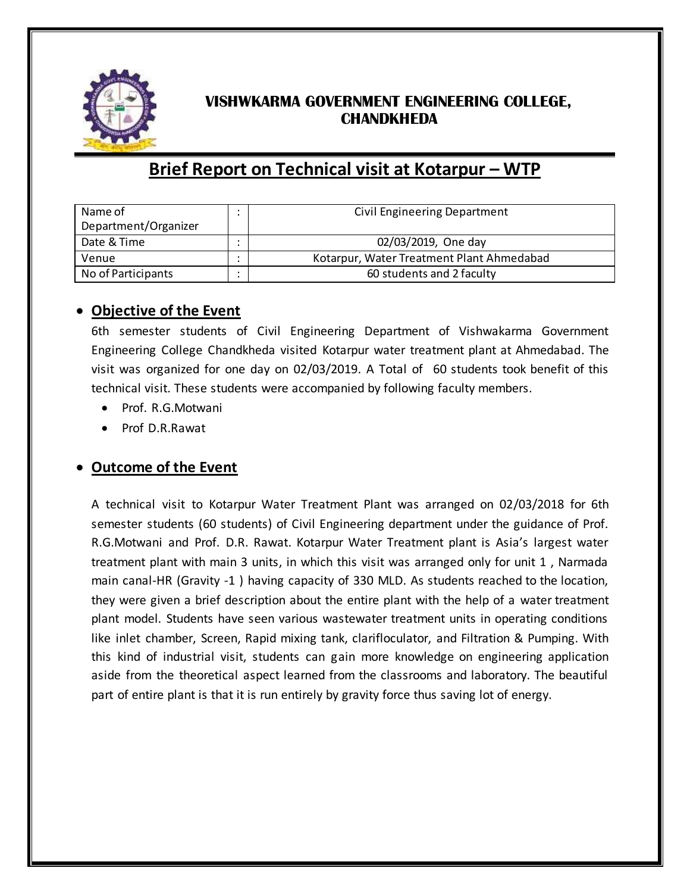

## **VISHWKARMA GOVERNMENT ENGINEERING COLLEGE, CHANDKHEDA**

## **Brief Report on Technical visit at Kotarpur – WTP**

| Name of              | Civil Engineering Department              |
|----------------------|-------------------------------------------|
| Department/Organizer |                                           |
| Date & Time          | 02/03/2019, One day                       |
| Venue                | Kotarpur, Water Treatment Plant Ahmedabad |
| No of Participants   | 60 students and 2 faculty                 |

## **Objective of the Event**

6th semester students of Civil Engineering Department of Vishwakarma Government Engineering College Chandkheda visited Kotarpur water treatment plant at Ahmedabad. The visit was organized for one day on 02/03/2019. A Total of 60 students took benefit of this technical visit. These students were accompanied by following faculty members.

- Prof. R.G.Motwani
- Prof D.R.Rawat

## **Outcome of the Event**

A technical visit to Kotarpur Water Treatment Plant was arranged on 02/03/2018 for 6th semester students (60 students) of Civil Engineering department under the guidance of Prof. R.G.Motwani and Prof. D.R. Rawat. Kotarpur Water Treatment plant is Asia's largest water treatment plant with main 3 units, in which this visit was arranged only for unit 1 , Narmada main canal-HR (Gravity -1 ) having capacity of 330 MLD. As students reached to the location, they were given a brief description about the entire plant with the help of a water treatment plant model. Students have seen various wastewater treatment units in operating conditions like inlet chamber, Screen, Rapid mixing tank, clarifloculator, and Filtration & Pumping. With this kind of industrial visit, students can gain more knowledge on engineering application aside from the theoretical aspect learned from the classrooms and laboratory. The beautiful part of entire plant is that it is run entirely by gravity force thus saving lot of energy.